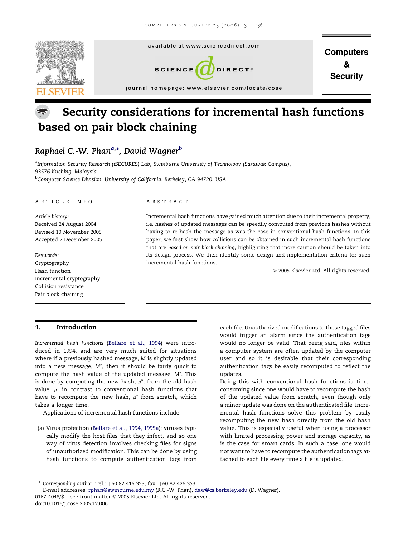

# Security considerations for incremental hash functions based on pair block chaining

# Raphael C.-W. Phan<sup>a,</sup>\*, David Wagner<sup>b</sup>

<sup>a</sup>Information Security Research (iSECURES) Lab, Swinburne University of Technology (Sarawak Campus), 93576 Kuching, Malaysia <sup>b</sup>Computer Science Division, University of California, Berkeley, CA 94720, USA

#### article info

Article history: Received 24 August 2004 Revised 10 November 2005 Accepted 2 December 2005

Keywords: Cryptography Hash function Incremental cryptography Collision resistance Pair block chaining

# 1. Introduction

Incremental hash functions [\(Bellare et al., 1994\)](#page-4-0) were introduced in 1994, and are very much suited for situations where if a previously hashed message, M is slightly updated into a new message, M\*, then it should be fairly quick to compute the hash value of the updated message, M\*. This is done by computing the new hash,  $\mu^*$ , from the old hash value,  $\mu$ , in contrast to conventional hash functions that have to recompute the new hash,  $\mu^*$  from scratch, which takes a longer time.

Applications of incremental hash functions include:

(a) Virus protection ([Bellare et al., 1994, 1995a\)](#page-4-0): viruses typically modify the host files that they infect, and so one way of virus detection involves checking files for signs of unauthorized modification. This can be done by using hash functions to compute authentication tags from

#### **ABSTRACT**

Incremental hash functions have gained much attention due to their incremental property, i.e. hashes of updated messages can be speedily computed from previous hashes without having to re-hash the message as was the case in conventional hash functions. In this paper, we first show how collisions can be obtained in such incremental hash functions that are based on pair block chaining, highlighting that more caution should be taken into its design process. We then identify some design and implementation criteria for such incremental hash functions.

<sup>©</sup> 2005 Elsevier Ltd. All rights reserved.

each file. Unauthorized modifications to these tagged files would trigger an alarm since the authentication tags would no longer be valid. That being said, files within a computer system are often updated by the computer user and so it is desirable that their corresponding authentication tags be easily recomputed to reflect the updates.

Doing this with conventional hash functions is timeconsuming since one would have to recompute the hash of the updated value from scratch, even though only a minor update was done on the authenticated file. Incremental hash functions solve this problem by easily recomputing the new hash directly from the old hash value. This is especially useful when using a processor with limited processing power and storage capacity, as is the case for smart cards. In such a case, one would not want to have to recompute the authentication tags attached to each file every time a file is updated.

 $*$  Corresponding author. Tel.:  $+60$  82 416 353; fax:  $+60$  82 426 353.

E-mail addresses: rphan@swinburne.edu.my (R.C.-W. Phan), daw@cs.berkeley.edu (D. Wagner). 0167-4048/\$ – see front matter  $\odot$  2005 Elsevier Ltd. All rights reserved. doi:10.1016/j.cose.2005.12.006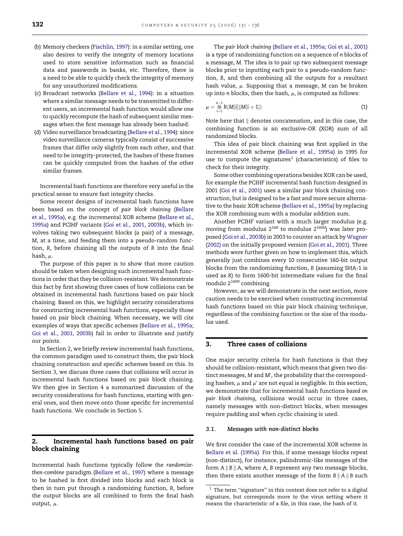- <span id="page-1-0"></span>(b) Memory checkers ([Fischlin, 1997](#page-4-0)): in a similar setting, one also desires to verify the integrity of memory locations used to store sensitive information such as financial data and passwords in banks, etc. Therefore, there is a need to be able to quickly check the integrity of memory for any unauthorized modifications.
- (c) Broadcast networks ([Bellare et al., 1994](#page-4-0)): in a situation where a similar message needs to be transmitted to different users, an incremental hash function would allow one to quickly recompute the hash of subsequent similar messages when the first message has already been hashed.
- (d) Video surveillance broadcasting [\(Bellare et al., 1994\)](#page-4-0): since video surveillance cameras typically consist of successive frames that differ only slightly from each other, and that need to be integrity-protected, the hashes of these frames can be quickly computed from the hashes of the other similar frames.

Incremental hash functions are therefore very useful in the practical sense to ensure fast integrity checks.

Some recent designs of incremental hash functions have been based on the concept of pair block chaining ([Bellare](#page-4-0) [et al., 1995a](#page-4-0)), e.g. the incremental XOR scheme ([Bellare et al.,](#page-4-0) [1995a](#page-4-0)) and PCIHF variants ([Goi et al., 2001, 2003b\)](#page-4-0), which involves taking two subsequent blocks (a pair) of a message, M, at a time, and feeding them into a pseudo-random function, R, before chaining all the outputs of R into the final hash,  $\mu$ .

The purpose of this paper is to show that more caution should be taken when designing such incremental hash functions in order that they be collision-resistant. We demonstrate this fact by first showing three cases of how collisions can be obtained in incremental hash functions based on pair block chaining. Based on this, we highlight security considerations for constructing incremental hash functions, especially those based on pair block chaining. When necessary, we will cite examples of ways that specific schemes ([Bellare et al., 1995a;](#page-4-0) [Goi et al., 2001, 2003b](#page-4-0)) fail in order to illustrate and justify our points.

In Section 2, we briefly review incremental hash functions, the common paradigm used to construct them, the pair block chaining construction and specific schemes based on this. In Section 3, we discuss three cases that collisions will occur in incremental hash functions based on pair block chaining. We then give in Section [4](#page-3-0) a summarized discussion of the security considerations for hash functions, starting with general ones, and then move onto those specific for incremental hash functions. We conclude in Section [5](#page-4-0).

# 2. Incremental hash functions based on pair block chaining

Incremental hash functions typically follow the randomizethen-combine paradigm ([Bellare et al., 1997](#page-4-0)) where a message to be hashed is first divided into blocks and each block is then in turn put through a randomizing function, R, before the output blocks are all combined to form the final hash output,  $\mu$ .

The pair block chaining ([Bellare et al., 1995a; Goi et al., 2001\)](#page-4-0) is a type of randomizing function on a sequence of n blocks of a message, M. The idea is to pair up two subsequent message blocks prior to inputting each pair to a pseudo-random function, R, and then combining all the outputs for a resultant hash value,  $\mu$ . Supposing that a message, M can be broken up into *n* blocks, then the hash,  $\mu$ , is computed as follows:

$$
\mu = \bigoplus_{i=1}^{n-1} R(M[i] \| M[i+1]) \tag{1}
$$

Note here that  $\parallel$  denotes concatenation, and in this case, the combining function is an exclusive-OR (XOR) sum of all randomized blocks.

This idea of pair block chaining was first applied in the incremental XOR scheme ([Bellare et al., 1995a\)](#page-4-0) in 1995 for use to compute the signatures<sup>1</sup> (characteristics) of files to check for their integrity.

Some other combining operations besides XOR can be used, for example the PCIHF incremental hash function designed in 2001 [\(Goi et al., 2001\)](#page-4-0) uses a similar pair block chaining construction, but is designed to be a fast and more secure alternative to the basic XOR scheme [\(Bellare et al., 1995a](#page-4-0)) by replacing the XOR combining sum with a modular addition sum.

Another PCIHF variant with a much larger modulus (e.g. moving from modulus  $2^{160}$  to modulus  $2^{1600}$ ) was later proposed [\(Goi et al., 2003b\)](#page-4-0) in 2003 to counter an attack by [Wagner](#page-4-0) [\(2002\)](#page-4-0) on the initially proposed version ([Goi et al., 2001\)](#page-4-0). Three methods were further given on how to implement this, which generally just combines every 10 consecutive 160-bit output blocks from the randomizing function, R (assuming SHA-1 is used as R) to form 1600-bit intermediate values for the final modulo  $2^{1600}$  combining.

However, as we will demonstrate in the next section, more caution needs to be exercised when constructing incremental hash functions based on this pair block chaining technique, regardless of the combining function or the size of the modulus used.

# 3. Three cases of collisions

One major security criteria for hash functions is that they should be collision-resistant, which means that given two distinct messages, M and M', the probability that the corresponding hashes,  $\mu$  and  $\mu'$  are not equal is negligible. In this section, we demonstrate that for incremental hash functions based on pair block chaining, collisions would occur in three cases, namely messages with non-distinct blocks, when messages require padding and when cyclic chaining is used.

#### 3.1. Messages with non-distinct blocks

We first consider the case of the incremental XOR scheme in [Bellare et al. \(1995a\).](#page-4-0) For this, if some message blocks repeat (non-distinct), for instance, palindromic-like messages of the form  $A \parallel B \parallel A$ , where A, B represent any two message blocks, then there exists another message of the form  $B \parallel A \parallel B$  such

 $^{\rm 1}$  The term "signature" in this context does not refer to a digital signature, but corresponds more to the virus setting where it means the characteristic of a file, in this case, the hash of it.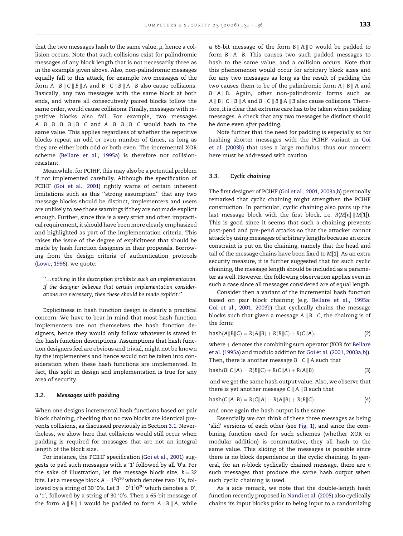that the two messages hash to the same value,  $\mu$ , hence a collision occurs. Note that such collisions exist for palindromic messages of any block length that is not necessarily three as in the example given above. Also, non-palindromic messages equally fall to this attack, for example two messages of the form  $A \parallel B \parallel C \parallel B \parallel A$  and  $B \parallel C \parallel B \parallel A \parallel B$  also cause collisions. Basically, any two messages with the same block at both ends, and where all consecutively paired blocks follow the same order, would cause collisions. Finally, messages with repetitive blocks also fail. For example, two messages  $A \parallel B \parallel B \parallel B \parallel B \parallel C$  and  $A \parallel B \parallel B \parallel C$  would hash to the same value. This applies regardless of whether the repetitive blocks repeat an odd or even number of times, as long as they are either both odd or both even. The incremental XOR scheme [\(Bellare et al., 1995a\)](#page-4-0) is therefore not collisionresistant.

Meanwhile, for PCIHF, this may also be a potential problem if not implemented carefully. Although the specification of PCIHF [\(Goi et al., 2001](#page-4-0)) rightly warns of certain inherent limitations such as this ''strong assumption'' that any two message blocks should be distinct, implementers and users are unlikely to see those warnings if they are not made explicit enough. Further, since this is a very strict and often impractical requirement, it should have been more clearly emphasized and highlighted as part of the implementation criteria. This raises the issue of the degree of explicitness that should be made by hash function designers in their proposals. Borrowing from the design criteria of authentication protocols [\(Lowe, 1996](#page-4-0)), we quote:

''.nothing in the description prohibits such an implementation. If the designer believes that certain implementation considerations are necessary, then these should be made explicit.''

Explicitness in hash function design is clearly a practical concern. We have to bear in mind that most hash function implementers are not themselves the hash function designers, hence they would only follow whatever is stated in the hash function descriptions. Assumptions that hash function designers feel are obvious and trivial, might not be known by the implementers and hence would not be taken into consideration when these hash functions are implemented. In fact, this split in design and implementation is true for any area of security.

# 3.2. Messages with padding

When one designs incremental hash functions based on pair block chaining, checking that no two blocks are identical prevents collisions, as discussed previously in Section [3.1.](#page-1-0) Nevertheless, we show here that collisions would still occur when padding is required for messages that are not an integral length of the block size.

For instance, the PCIHF specification [\(Goi et al., 2001](#page-4-0)) suggests to pad such messages with a '1' followed by all '0's. For the sake of illustration, let the message block size,  $b = 32$ bits. Let a message block A  $=$  1 $^{2}0^{30}$  which denotes two '1's, followed by a string of 30 '0's. Let B  $=$  0 $^{\rm 11^{\rm 10^{30}}}$  which denotes a '0', a '1', followed by a string of 30 '0's. Then a 65-bit message of the form  $A \parallel B \parallel 1$  would be padded to form  $A \parallel B \parallel A$ , while

a 65-bit message of the form  $B \| A \| 0$  would be padded to form  $B \| A \| B$ . This causes two such padded messages to hash to the same value, and a collision occurs. Note that this phenomenon would occur for arbitrary block sizes and for any two messages as long as the result of padding the two causes them to be of the palindromic form  $A \parallel B \parallel A$  and  $B \parallel A \parallel B$ . Again, other non-palindromic forms such as A  $\parallel$  B  $\parallel$  C  $\parallel$  B  $\parallel$  A and B  $\parallel$  C  $\parallel$  B  $\parallel$  A  $\parallel$  B also cause collisions. Therefore, it is clear that extreme care has to be taken when padding messages. A check that any two messages be distinct should be done even after padding.

Note further that the need for padding is especially so for hashing shorter messages with the PCIHF variant in [Goi](#page-4-0) [et al. \(2003b\)](#page-4-0) that uses a large modulus, thus our concern here must be addressed with caution.

#### 3.3. Cyclic chaining

The first designer of PCIHF [\(Goi et al., 2001, 2003a,b\)](#page-4-0) personally remarked that cyclic chaining might strengthen the PCIHF construction. In particular, cyclic chaining also pairs up the last message block with the first block, i.e.  $R(M[n] \parallel M[1])$ . This is good since it seems that such a chaining prevents post-pend and pre-pend attacks so that the attacker cannot attack by using messages of arbitrary lengths because an extra constraint is put on the chaining, namely that the head and tail of the message chains have been fixed to M[1]. As an extra security measure, it is further suggested that for such cyclic chaining, the message length should be included as a parameter as well. However, the following observation applies even in such a case since all messages considered are of equal length.

Consider then a variant of the incremental hash function based on pair block chaining (e.g. [Bellare et al., 1995a;](#page-4-0) [Goi et al., 2001, 2003b\)](#page-4-0) that cyclically chains the message blocks such that given a message  $A \parallel B \parallel C$ , the chaining is of the form:

$$
hash(A||B||C) = R(A||B) + R(B||C) + R(C||A),
$$
\n(2)

where  $+$  denotes the combining sum operator (XOR for [Bellare](#page-4-0) [et al. \(1995a\)](#page-4-0) and modulo addition for [Goi et al. \(2001, 2003a,b\)](#page-4-0)). Then, there is another message  $B \parallel C \parallel A$  such that

$$
hash(B||C||A) = R(B||C) + R(C||A) + R(A||B)
$$
\n(3)

and we get the same hash output value. Also, we observe that there is yet another message  $C \parallel A \parallel B$  such that

$$
hash(C||A||B) = R(C||A) + R(A||B) + R(B||C)
$$
\n(4)

and once again the hash output is the same.

Essentially we can think of these three messages as being 'slid' versions of each other (see [Fig. 1\)](#page-3-0), and since the combining function used for such schemes (whether XOR or modular addition) is commutative, they all hash to the same value. This sliding of the messages is possible since there is no block dependence in the cyclic chaining. In general, for an n-block cyclically chained message, there are n such messages that produce the same hash output when such cyclic chaining is used.

As a side remark, we note that the double-length hash function recently proposed in [Nandi et al. \(2005\)](#page-4-0) also cyclically chains its input blocks prior to being input to a randomizing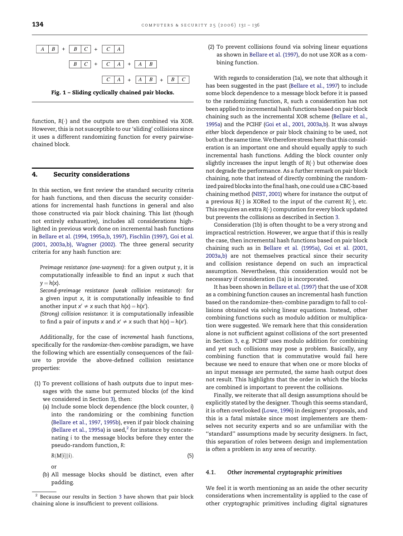<span id="page-3-0"></span>

function,  $R(\cdot)$  and the outputs are then combined via XOR. However, this is not susceptible to our 'sliding' collisions since it uses a different randomizing function for every pairwisechained block.

# 4. Security considerations

In this section, we first review the standard security criteria for hash functions, and then discuss the security considerations for incremental hash functions in general and also those constructed via pair block chaining. This list (though not entirely exhaustive), includes all considerations highlighted in previous work done on incremental hash functions in [Bellare et al. \(1994, 1995a,b, 1997\), Fischlin \(1997\), Goi et al.](#page-4-0) [\(2001, 2003a,b\), Wagner \(2002\)](#page-4-0). The three general security criteria for any hash function are:

Preimage resistance (one-wayness): for a given output y, it is computationally infeasible to find an input x such that  $y = h(x)$ .

Second-preimage resistance (weak collision resistance): for a given input x, it is computationally infeasible to find another input  $x' \neq x$  such that  $h(x) = h(x')$ .

(Strong) collision resistance: it is computationally infeasible to find a pair of inputs x and  $x' \neq x$  such that  $h(x) = h(x')$ .

Additionally, for the case of incremental hash functions, specifically for the randomize-then-combine paradigm, we have the following which are essentially consequences of the failure to provide the above-defined collision resistance properties:

- (1) To prevent collisions of hash outputs due to input messages with the same but permuted blocks (of the kind we considered in Section [3\)](#page-1-0), then:
	- (a) Include some block dependence (the block counter, i) into the randomizing or the combining function [\(Bellare et al., 1997, 1995b\)](#page-4-0), even if pair block chaining [\(Bellare et al., 1995a\)](#page-4-0) is used, $2$  for instance by concatenating i to the message blocks before they enter the pseudo-random function, R:

$$
R(M[i]||i). \tag{5}
$$

or

(b) All message blocks should be distinct, even after padding.

(2) To prevent collisions found via solving linear equations as shown in [Bellare et al. \(1997\),](#page-4-0) do not use XOR as a combining function.

With regards to consideration (1a), we note that although it has been suggested in the past [\(Bellare et al., 1997](#page-4-0)) to include some block dependence to a message block before it is passed to the randomizing function, R, such a consideration has not been applied to incremental hash functions based on pair block chaining such as the incremental XOR scheme ([Bellare et al.,](#page-4-0) [1995a\)](#page-4-0) and the PCIHF [\(Goi et al., 2001, 2003a,b\)](#page-4-0). It was always either block dependence or pair block chaining to be used, not both at the same time.We therefore stress here that this consideration is an important one and should equally apply to such incremental hash functions. Adding the block counter only slightly increases the input length of  $R(\cdot)$  but otherwise does not degrade the performance. As a further remark on pair block chaining, note that instead of directly combining the randomized paired blocks into the final hash, one could use a CBC-based chaining method [\(NIST, 2001\)](#page-4-0) where for instance the output of a previous  $R(\cdot)$  is XORed to the input of the current  $R(\cdot)$ , etc. This requires an extra  $R(\cdot)$  computation for every block updated but prevents the collisions as described in Section [3](#page-1-0).

Consideration (1b) is often thought to be a very strong and impractical restriction. However, we argue that if this is really the case, then incremental hash functions based on pair block chaining such as in [Bellare et al. \(1995a\), Goi et al. \(2001,](#page-4-0) [2003a,b\)](#page-4-0) are not themselves practical since their security and collision resistance depend on such an impractical assumption. Nevertheless, this consideration would not be necessary if consideration (1a) is incorporated.

It has been shown in [Bellare et al. \(1997\)](#page-4-0) that the use of XOR as a combining function causes an incremental hash function based on the randomize-then-combine paradigm to fall to collisions obtained via solving linear equations. Instead, other combining functions such as modulo addition or multiplication were suggested. We remark here that this consideration alone is not sufficient against collisions of the sort presented in Section [3](#page-1-0), e.g. PCIHF uses modulo addition for combining and yet such collisions may pose a problem. Basically, any combining function that is commutative would fail here because we need to ensure that when one or more blocks of an input message are permuted, the same hash output does not result. This highlights that the order in which the blocks are combined is important to prevent the collisions.

Finally, we reiterate that all design assumptions should be explicitly stated by the designer. Though this seems standard, it is often overlooked ([Lowe, 1996\)](#page-4-0) in designers' proposals, and this is a fatal mistake since most implementers are themselves not security experts and so are unfamiliar with the ''standard'' assumptions made by security designers. In fact, this separation of roles between design and implementation is often a problem in any area of security.

#### 4.1. Other incremental cryptographic primitives

We feel it is worth mentioning as an aside the other security considerations when incrementality is applied to the case of other cryptographic primitives including digital signatures

 $2$  Because our results in Section [3](#page-1-0) have shown that pair block chaining alone is insufficient to prevent collisions.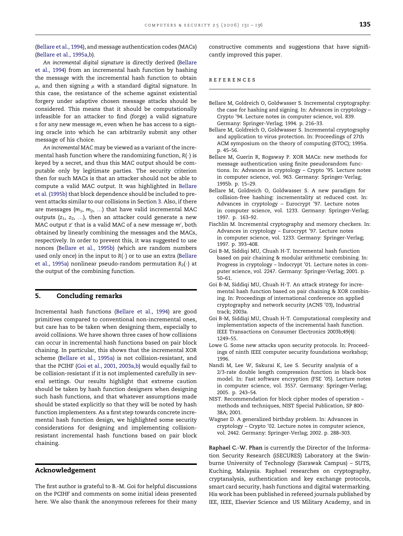<span id="page-4-0"></span>(Bellare et al., 1994), and message authentication codes (MACs) (Bellare et al., 1995a,b).

An incremental digital signature is directly derived (Bellare et al., 1994) from an incremental hash function by hashing the message with the incremental hash function to obtain  $\mu$ , and then signing  $\mu$  with a standard digital signature. In this case, the resistance of the scheme against existential forgery under adaptive chosen message attacks should be considered. This means that it should be computationally infeasible for an attacker to find (forge) a valid signature s for any new message m, even when he has access to a signing oracle into which he can arbitrarily submit any other message of his choice.

An incremental MAC may be viewed as a variant of the incremental hash function where the randomizing function,  $R(\cdot)$  is keyed by a secret, and thus this MAC output should be computable only by legitimate parties. The security criterion then for such MACs is that an attacker should not be able to compute a valid MAC output. It was highlighted in Bellare et al. (1995b) that block dependence should be included to prevent attacks similar to our collisions in Section [3.](#page-1-0) Also, if there are messages  $(m_1, m_2, ...)$  that have valid incremental MAC outputs  $(z_1, z_2, ...)$ , then an attacker could generate a new MAC output  $z'$  that is a valid MAC of a new message  $m'$ , both obtained by linearly combining the messages and the MACs, respectively. In order to prevent this, it was suggested to use nonces (Bellare et al., 1995b) (which are random numbers used only once) in the input to  $R(\cdot)$  or to use an extra (Bellare et al., 1995a) nonlinear pseudo-random permutation  $R_2(\cdot)$  at the output of the combining function.

# 5. Concluding remarks

Incremental hash functions (Bellare et al., 1994) are good primitives compared to conventional non-incremental ones, but care has to be taken when designing them, especially to avoid collisions. We have shown three cases of how collisions can occur in incremental hash functions based on pair block chaining. In particular, this shows that the incremental XOR scheme (Bellare et al., 1995a) is not collision-resistant, and that the PCIHF (Goi et al., 2001, 2003a,b) would equally fail to be collision-resistant if it is not implemented carefully in several settings. Our results highlight that extreme caution should be taken by hash function designers when designing such hash functions, and that whatever assumptions made should be stated explicitly so that they will be noted by hash function implementers. As a first step towards concrete incremental hash function design, we highlighted some security considerations for designing and implementing collisionresistant incremental hash functions based on pair block chaining.

### Acknowledgement

The first author is grateful to B.-M. Goi for helpful discussions on the PCIHF and comments on some initial ideas presented here. We also thank the anonymous referees for their many constructive comments and suggestions that have significantly improved this paper.

#### references

- Bellare M, Goldreich O, Goldwasser S. Incremental cryptography: the case for hashing and signing. In: Advances in cryptology – Crypto '94. Lecture notes in computer science, vol. 839. Germany: Springer-Verlag; 1994. p. 216–33.
- Bellare M, Goldreich O, Goldwasser S. Incremental cryptography and application to virus protection. In: Proceedings of 27th ACM symposium on the theory of computing (STOC); 1995a. p. 45–56.
- Bellare M, Guerin R, Rogaway P. XOR MACs: new methods for message authentication using finite pseudorandom functions. In: Advances in cryptology – Crypto '95. Lecture notes in computer science, vol. 963. Germany: Springer-Verlag; 1995b. p. 15–29.
- Bellare M, Goldreich O, Goldwasser S. A new paradigm for collision-free hashing: incrementality at reduced cost. In: Advances in cryptology – Eurocrypt '97. Lecture notes in computer science, vol. 1233. Germany: Springer-Verlag; 1997. p. 163–92.
- Fischlin M. Incremental cryptography and memory checkers. In: Advances in cryptology – Eurocrypt '97. Lecture notes in computer science, vol. 1233. Germany: Springer-Verlag; 1997. p. 393–408.
- Goi B-M, Siddiqi MU, Chuah H-T. Incremental hash function based on pair chaining & modular arithmetic combining. In: Progress in cryptology – Indocrypt '01. Lecture notes in computer science, vol. 2247. Germany: Springer-Verlag; 2001. p. 50–61.
- Goi B-M, Siddiqi MU, Chuah H-T. An attack strategy for incremental hash function based on pair chaining & XOR combining. In: Proceedings of international conference on applied cryptography and network security (ACNS '03), Industrial track; 2003a.
- Goi B-M, Siddiqi MU, Chuah H-T. Computational complexity and implementation aspects of the incremental hash function. IEEE Transactions on Consumer Electronics 2003b;49(4): 1249–55.
- Lowe G. Some new attacks upon security protocols. In: Proceedings of ninth IEEE computer security foundations workshop; 1996.
- Nandi M, Lee W, Sakurai K, Lee S. Security analysis of a 2/3-rate double length compression function in black-box model. In: Fast software encryption (FSE '05). Lecture notes in computer science, vol. 3557. Germany: Springer-Verlag; 2005. p. 243–54.
- NIST. Recommendation for block cipher modes of operation methods and techniques, NIST Special Publication, SP 800- 38A; 2001.
- Wagner D. A generalized birthday problem. In: Advances in cryptology – Crypto '02. Lecture notes in computer science, vol. 2442. Germany: Springer-Verlag; 2002. p. 288–303.

Raphael C.-W. Phan is currently the Director of the Information Security Research (iSECURES) Laboratory at the Swinburne University of Technology (Sarawak Campus) – SUTS, Kuching, Malaysia. Raphael researches on cryptography, cryptanalysis, authentication and key exchange protocols, smart card security, hash functions and digital watermarking. His work has been published in refereed journals published by IEE, IEEE, Elsevier Science and US Military Academy, and in